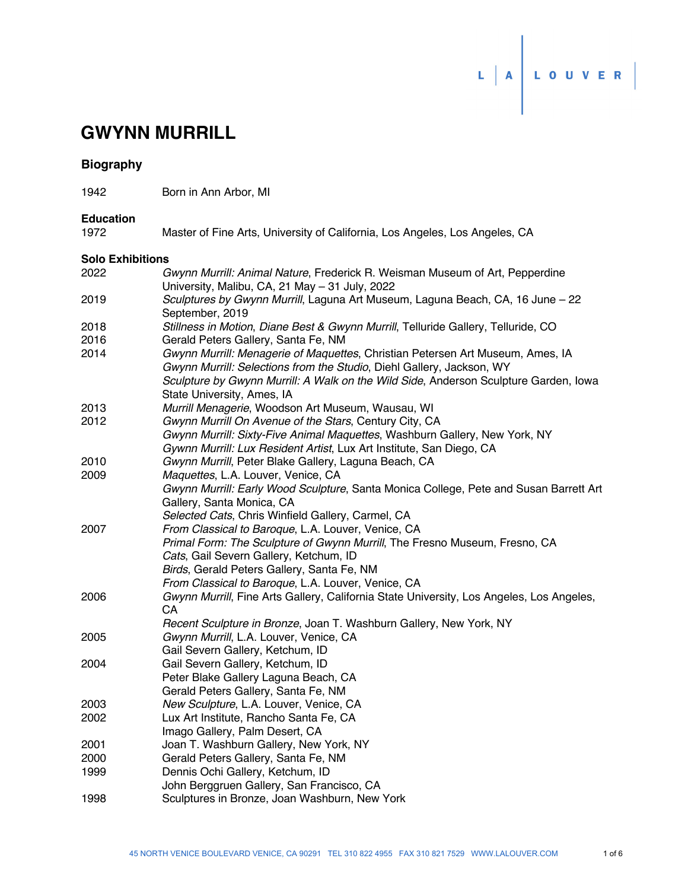

# **GWYNN MURRILL**

| Biography |  |
|-----------|--|
|-----------|--|

1942 Born in Ann Arbor, MI

## **Education**

1972 Master of Fine Arts, University of California, Los Angeles, Los Angeles, CA

#### **Solo Exhibitions**

| 2022 | Gwynn Murrill: Animal Nature, Frederick R. Weisman Museum of Art, Pepperdine<br>University, Malibu, CA, 21 May - 31 July, 2022 |
|------|--------------------------------------------------------------------------------------------------------------------------------|
| 2019 | Sculptures by Gwynn Murrill, Laguna Art Museum, Laguna Beach, CA, 16 June - 22<br>September, 2019                              |
| 2018 | Stillness in Motion, Diane Best & Gwynn Murrill, Telluride Gallery, Telluride, CO                                              |
| 2016 | Gerald Peters Gallery, Santa Fe, NM                                                                                            |
| 2014 | Gwynn Murrill: Menagerie of Maquettes, Christian Petersen Art Museum, Ames, IA                                                 |
|      | Gwynn Murrill: Selections from the Studio, Diehl Gallery, Jackson, WY                                                          |
|      | Sculpture by Gwynn Murrill: A Walk on the Wild Side, Anderson Sculpture Garden, Iowa                                           |
|      | State University, Ames, IA                                                                                                     |
| 2013 | Murrill Menagerie, Woodson Art Museum, Wausau, WI                                                                              |
| 2012 | Gwynn Murrill On Avenue of the Stars, Century City, CA                                                                         |
|      | Gwynn Murrill: Sixty-Five Animal Maquettes, Washburn Gallery, New York, NY                                                     |
|      | Gywnn Murrill: Lux Resident Artist, Lux Art Institute, San Diego, CA                                                           |
| 2010 | Gwynn Murrill, Peter Blake Gallery, Laguna Beach, CA                                                                           |
| 2009 | Maquettes, L.A. Louver, Venice, CA                                                                                             |
|      | Gwynn Murrill: Early Wood Sculpture, Santa Monica College, Pete and Susan Barrett Art                                          |
|      | Gallery, Santa Monica, CA                                                                                                      |
|      | Selected Cats, Chris Winfield Gallery, Carmel, CA                                                                              |
| 2007 | From Classical to Baroque, L.A. Louver, Venice, CA                                                                             |
|      | Primal Form: The Sculpture of Gwynn Murrill, The Fresno Museum, Fresno, CA                                                     |
|      | Cats, Gail Severn Gallery, Ketchum, ID                                                                                         |
|      | Birds, Gerald Peters Gallery, Santa Fe, NM                                                                                     |
|      | From Classical to Baroque, L.A. Louver, Venice, CA                                                                             |
| 2006 | Gwynn Murrill, Fine Arts Gallery, California State University, Los Angeles, Los Angeles,<br>CA                                 |
|      | Recent Sculpture in Bronze, Joan T. Washburn Gallery, New York, NY                                                             |
| 2005 | Gwynn Murrill, L.A. Louver, Venice, CA                                                                                         |
|      | Gail Severn Gallery, Ketchum, ID                                                                                               |
| 2004 | Gail Severn Gallery, Ketchum, ID                                                                                               |
|      | Peter Blake Gallery Laguna Beach, CA                                                                                           |
|      | Gerald Peters Gallery, Santa Fe, NM                                                                                            |
| 2003 | New Sculpture, L.A. Louver, Venice, CA                                                                                         |
| 2002 | Lux Art Institute, Rancho Santa Fe, CA                                                                                         |
|      | Imago Gallery, Palm Desert, CA                                                                                                 |
| 2001 | Joan T. Washburn Gallery, New York, NY                                                                                         |
| 2000 | Gerald Peters Gallery, Santa Fe, NM                                                                                            |
| 1999 | Dennis Ochi Gallery, Ketchum, ID                                                                                               |
|      | John Berggruen Gallery, San Francisco, CA                                                                                      |
| 1998 | Sculptures in Bronze, Joan Washburn, New York                                                                                  |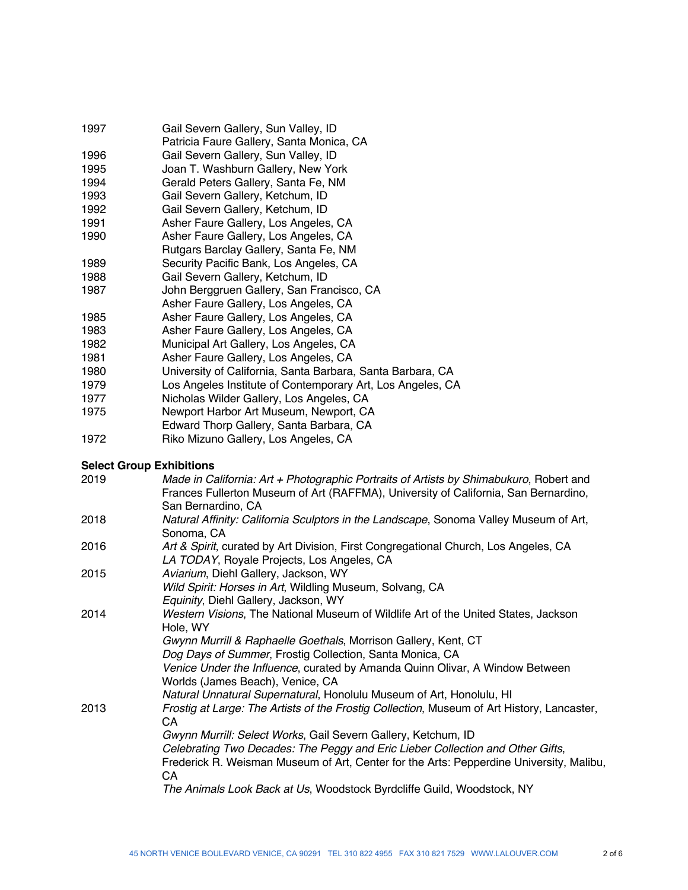- 1997 Gail Severn Gallery, Sun Valley, ID
- Patricia Faure Gallery, Santa Monica, CA<br>1996 – Gail Severn Gallery, Sun Valley, ID
- Gail Severn Gallery, Sun Valley, ID 1995 Joan T. Washburn Gallery, New York
- 1994 Gerald Peters Gallery, Santa Fe, NM
- 1993 Gail Severn Gallery, Ketchum, ID
- 1992 Gail Severn Gallery, Ketchum, ID
- 1991 **Asher Faure Gallery, Los Angeles, CA**<br>1990 **Asher Faure Gallery, Los Angeles, CA**
- Asher Faure Gallery, Los Angeles, CA
- Rutgars Barclay Gallery, Santa Fe, NM
- 1989 Security Pacific Bank, Los Angeles, CA
- 1988 Gail Severn Gallery, Ketchum, ID
- 1987 John Berggruen Gallery, San Francisco, CA
- Asher Faure Gallery, Los Angeles, CA
- 1985 Asher Faure Gallery, Los Angeles, CA
- 1983 Asher Faure Gallery, Los Angeles, CA
- 1982 Municipal Art Gallery, Los Angeles, CA
- 1981 Asher Faure Gallery, Los Angeles, CA
- 1980 University of California, Santa Barbara, Santa Barbara, CA
- 1979 Los Angeles Institute of Contemporary Art, Los Angeles, CA
- 1977 Nicholas Wilder Gallery, Los Angeles, CA
- 1975 Newport Harbor Art Museum, Newport, CA
- Edward Thorp Gallery, Santa Barbara, CA<br>1972 – Riko Mizuno Gallery, Los Angeles, CA
- Riko Mizuno Gallery, Los Angeles, CA

### **Select Group Exhibitions**

| 2019 | Made in California: Art + Photographic Portraits of Artists by Shimabukuro, Robert and<br>Frances Fullerton Museum of Art (RAFFMA), University of California, San Bernardino, |
|------|-------------------------------------------------------------------------------------------------------------------------------------------------------------------------------|
|      | San Bernardino, CA                                                                                                                                                            |
| 2018 | Natural Affinity: California Sculptors in the Landscape, Sonoma Valley Museum of Art,<br>Sonoma, CA                                                                           |
| 2016 | Art & Spirit, curated by Art Division, First Congregational Church, Los Angeles, CA<br>LA TODAY, Royale Projects, Los Angeles, CA                                             |
| 2015 | Aviarium, Diehl Gallery, Jackson, WY                                                                                                                                          |
|      | Wild Spirit: Horses in Art, Wildling Museum, Solvang, CA                                                                                                                      |
|      | Equinity, Diehl Gallery, Jackson, WY                                                                                                                                          |
| 2014 | Western Visions, The National Museum of Wildlife Art of the United States, Jackson                                                                                            |
|      | Hole, WY<br>Gwynn Murrill & Raphaelle Goethals, Morrison Gallery, Kent, CT                                                                                                    |
|      | Dog Days of Summer, Frostig Collection, Santa Monica, CA                                                                                                                      |
|      | Venice Under the Influence, curated by Amanda Quinn Olivar, A Window Between                                                                                                  |
|      | Worlds (James Beach), Venice, CA                                                                                                                                              |
|      | Natural Unnatural Supernatural, Honolulu Museum of Art, Honolulu, HI                                                                                                          |
| 2013 | Frostig at Large: The Artists of the Frostig Collection, Museum of Art History, Lancaster,                                                                                    |
|      | CA                                                                                                                                                                            |
|      | Gwynn Murrill: Select Works, Gail Severn Gallery, Ketchum, ID                                                                                                                 |
|      | Celebrating Two Decades: The Peggy and Eric Lieber Collection and Other Gifts,                                                                                                |
|      | Frederick R. Weisman Museum of Art, Center for the Arts: Pepperdine University, Malibu,<br>СA                                                                                 |
|      | The Animals Look Back at Us, Woodstock Byrdcliffe Guild, Woodstock, NY                                                                                                        |
|      |                                                                                                                                                                               |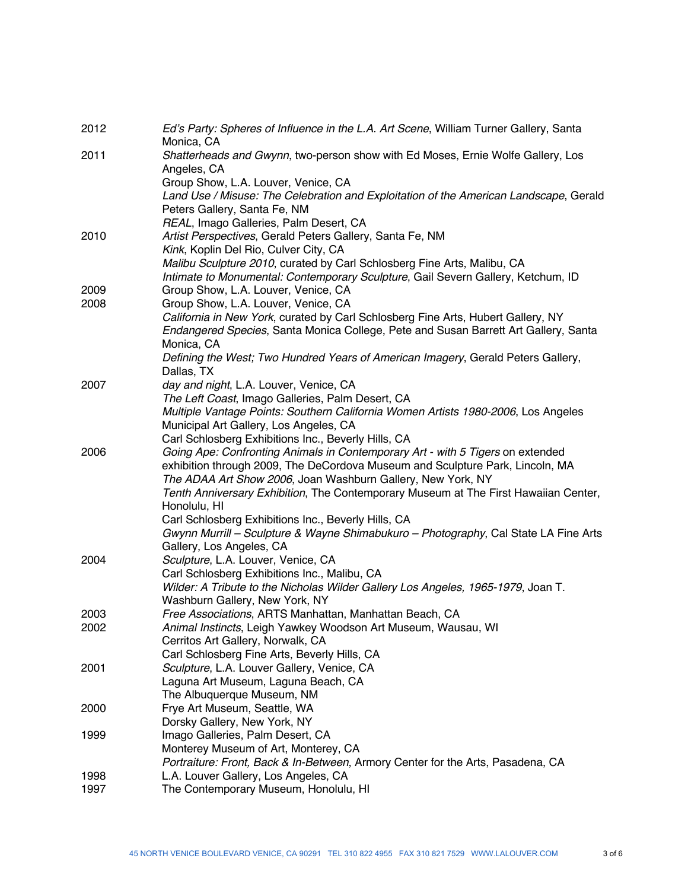| 2012 | Ed's Party: Spheres of Influence in the L.A. Art Scene, William Turner Gallery, Santa<br>Monica, CA                                                |
|------|----------------------------------------------------------------------------------------------------------------------------------------------------|
| 2011 | Shatterheads and Gwynn, two-person show with Ed Moses, Ernie Wolfe Gallery, Los<br>Angeles, CA                                                     |
|      | Group Show, L.A. Louver, Venice, CA<br>Land Use / Misuse: The Celebration and Exploitation of the American Landscape, Gerald                       |
|      | Peters Gallery, Santa Fe, NM                                                                                                                       |
| 2010 | REAL, Imago Galleries, Palm Desert, CA<br>Artist Perspectives, Gerald Peters Gallery, Santa Fe, NM                                                 |
|      | Kink, Koplin Del Rio, Culver City, CA                                                                                                              |
|      | Malibu Sculpture 2010, curated by Carl Schlosberg Fine Arts, Malibu, CA                                                                            |
|      | Intimate to Monumental: Contemporary Sculpture, Gail Severn Gallery, Ketchum, ID                                                                   |
| 2009 | Group Show, L.A. Louver, Venice, CA                                                                                                                |
| 2008 | Group Show, L.A. Louver, Venice, CA                                                                                                                |
|      | California in New York, curated by Carl Schlosberg Fine Arts, Hubert Gallery, NY                                                                   |
|      | Endangered Species, Santa Monica College, Pete and Susan Barrett Art Gallery, Santa                                                                |
|      | Monica, CA<br>Defining the West; Two Hundred Years of American Imagery, Gerald Peters Gallery,                                                     |
|      | Dallas, TX                                                                                                                                         |
| 2007 | day and night, L.A. Louver, Venice, CA                                                                                                             |
|      | The Left Coast, Imago Galleries, Palm Desert, CA                                                                                                   |
|      | Multiple Vantage Points: Southern California Women Artists 1980-2006, Los Angeles                                                                  |
|      | Municipal Art Gallery, Los Angeles, CA                                                                                                             |
| 2006 | Carl Schlosberg Exhibitions Inc., Beverly Hills, CA<br>Going Ape: Confronting Animals in Contemporary Art - with 5 Tigers on extended              |
|      | exhibition through 2009, The DeCordova Museum and Sculpture Park, Lincoln, MA                                                                      |
|      | The ADAA Art Show 2006, Joan Washburn Gallery, New York, NY<br>Tenth Anniversary Exhibition, The Contemporary Museum at The First Hawaiian Center, |
|      | Honolulu, HI                                                                                                                                       |
|      | Carl Schlosberg Exhibitions Inc., Beverly Hills, CA                                                                                                |
|      | Gwynn Murrill - Sculpture & Wayne Shimabukuro - Photography, Cal State LA Fine Arts                                                                |
|      | Gallery, Los Angeles, CA                                                                                                                           |
| 2004 | Sculpture, L.A. Louver, Venice, CA                                                                                                                 |
|      | Carl Schlosberg Exhibitions Inc., Malibu, CA                                                                                                       |
|      | Wilder: A Tribute to the Nicholas Wilder Gallery Los Angeles, 1965-1979, Joan T.                                                                   |
| 2003 | Washburn Gallery, New York, NY<br>Free Associations, ARTS Manhattan, Manhattan Beach, CA                                                           |
| 2002 | Animal Instincts, Leigh Yawkey Woodson Art Museum, Wausau, WI                                                                                      |
|      | Cerritos Art Gallery, Norwalk, CA                                                                                                                  |
|      | Carl Schlosberg Fine Arts, Beverly Hills, CA                                                                                                       |
| 2001 | Sculpture, L.A. Louver Gallery, Venice, CA                                                                                                         |
|      | Laguna Art Museum, Laguna Beach, CA                                                                                                                |
|      | The Albuquerque Museum, NM                                                                                                                         |
| 2000 | Frye Art Museum, Seattle, WA                                                                                                                       |
| 1999 | Dorsky Gallery, New York, NY<br>Imago Galleries, Palm Desert, CA                                                                                   |
|      | Monterey Museum of Art, Monterey, CA                                                                                                               |
|      | Portraiture: Front, Back & In-Between, Armory Center for the Arts, Pasadena, CA                                                                    |
| 1998 | L.A. Louver Gallery, Los Angeles, CA                                                                                                               |
| 1997 | The Contemporary Museum, Honolulu, HI                                                                                                              |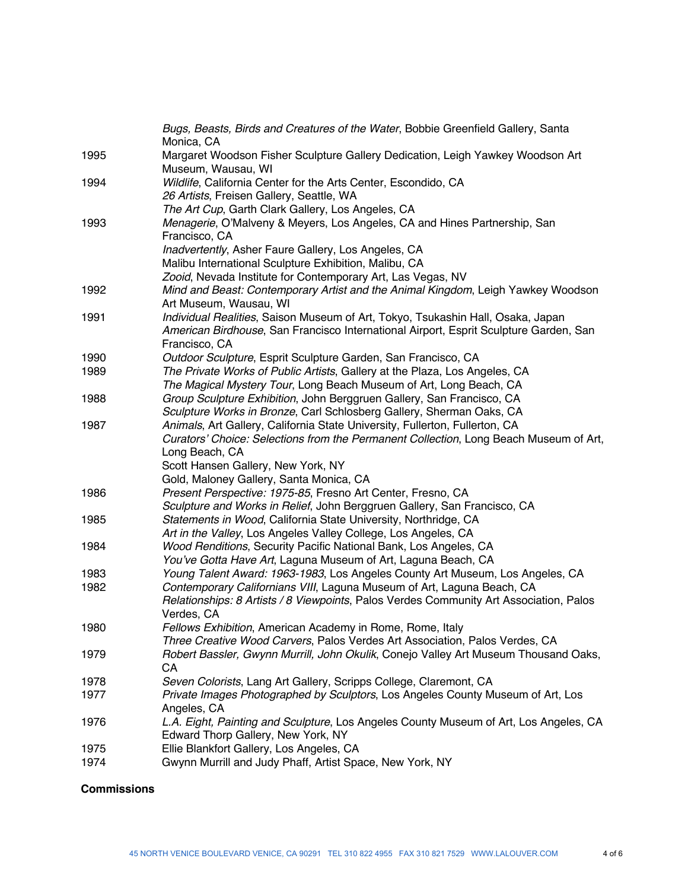|      | Bugs, Beasts, Birds and Creatures of the Water, Bobbie Greenfield Gallery, Santa                     |
|------|------------------------------------------------------------------------------------------------------|
|      | Monica, CA                                                                                           |
| 1995 | Margaret Woodson Fisher Sculpture Gallery Dedication, Leigh Yawkey Woodson Art<br>Museum, Wausau, WI |
| 1994 | Wildlife, California Center for the Arts Center, Escondido, CA                                       |
|      | 26 Artists, Freisen Gallery, Seattle, WA                                                             |
|      | The Art Cup, Garth Clark Gallery, Los Angeles, CA                                                    |
| 1993 | Menagerie, O'Malveny & Meyers, Los Angeles, CA and Hines Partnership, San                            |
|      | Francisco, CA                                                                                        |
|      | Inadvertently, Asher Faure Gallery, Los Angeles, CA                                                  |
|      | Malibu International Sculpture Exhibition, Malibu, CA                                                |
|      | Zooid, Nevada Institute for Contemporary Art, Las Vegas, NV                                          |
| 1992 | Mind and Beast: Contemporary Artist and the Animal Kingdom, Leigh Yawkey Woodson                     |
|      | Art Museum, Wausau, WI                                                                               |
| 1991 | Individual Realities, Saison Museum of Art, Tokyo, Tsukashin Hall, Osaka, Japan                      |
|      | American Birdhouse, San Francisco International Airport, Esprit Sculpture Garden, San                |
|      | Francisco, CA                                                                                        |
| 1990 | Outdoor Sculpture, Esprit Sculpture Garden, San Francisco, CA                                        |
| 1989 | The Private Works of Public Artists, Gallery at the Plaza, Los Angeles, CA                           |
|      | The Magical Mystery Tour, Long Beach Museum of Art, Long Beach, CA                                   |
| 1988 | Group Sculpture Exhibition, John Berggruen Gallery, San Francisco, CA                                |
|      | Sculpture Works in Bronze, Carl Schlosberg Gallery, Sherman Oaks, CA                                 |
| 1987 | Animals, Art Gallery, California State University, Fullerton, Fullerton, CA                          |
|      | Curators' Choice: Selections from the Permanent Collection, Long Beach Museum of Art,                |
|      | Long Beach, CA                                                                                       |
|      | Scott Hansen Gallery, New York, NY                                                                   |
|      | Gold, Maloney Gallery, Santa Monica, CA                                                              |
| 1986 | Present Perspective: 1975-85, Fresno Art Center, Fresno, CA                                          |
|      | Sculpture and Works in Relief, John Berggruen Gallery, San Francisco, CA                             |
| 1985 | Statements in Wood, California State University, Northridge, CA                                      |
|      | Art in the Valley, Los Angeles Valley College, Los Angeles, CA                                       |
| 1984 | Wood Renditions, Security Pacific National Bank, Los Angeles, CA                                     |
|      | You've Gotta Have Art, Laguna Museum of Art, Laguna Beach, CA                                        |
| 1983 | Young Talent Award: 1963-1983, Los Angeles County Art Museum, Los Angeles, CA                        |
| 1982 | Contemporary Californians VIII, Laguna Museum of Art, Laguna Beach, CA                               |
|      | Relationships: 8 Artists / 8 Viewpoints, Palos Verdes Community Art Association, Palos               |
|      | Verdes, CA                                                                                           |
| 1980 | Fellows Exhibition, American Academy in Rome, Rome, Italy                                            |
|      | Three Creative Wood Carvers, Palos Verdes Art Association, Palos Verdes, CA                          |
| 1979 | Robert Bassler, Gwynn Murrill, John Okulik, Conejo Valley Art Museum Thousand Oaks,                  |
|      | CA                                                                                                   |
| 1978 | Seven Colorists, Lang Art Gallery, Scripps College, Claremont, CA                                    |
| 1977 | Private Images Photographed by Sculptors, Los Angeles County Museum of Art, Los                      |
|      | Angeles, CA                                                                                          |
| 1976 | L.A. Eight, Painting and Sculpture, Los Angeles County Museum of Art, Los Angeles, CA                |
|      | Edward Thorp Gallery, New York, NY                                                                   |
| 1975 | Ellie Blankfort Gallery, Los Angeles, CA                                                             |
| 1974 | Gwynn Murrill and Judy Phaff, Artist Space, New York, NY                                             |
|      |                                                                                                      |

# **Commissions**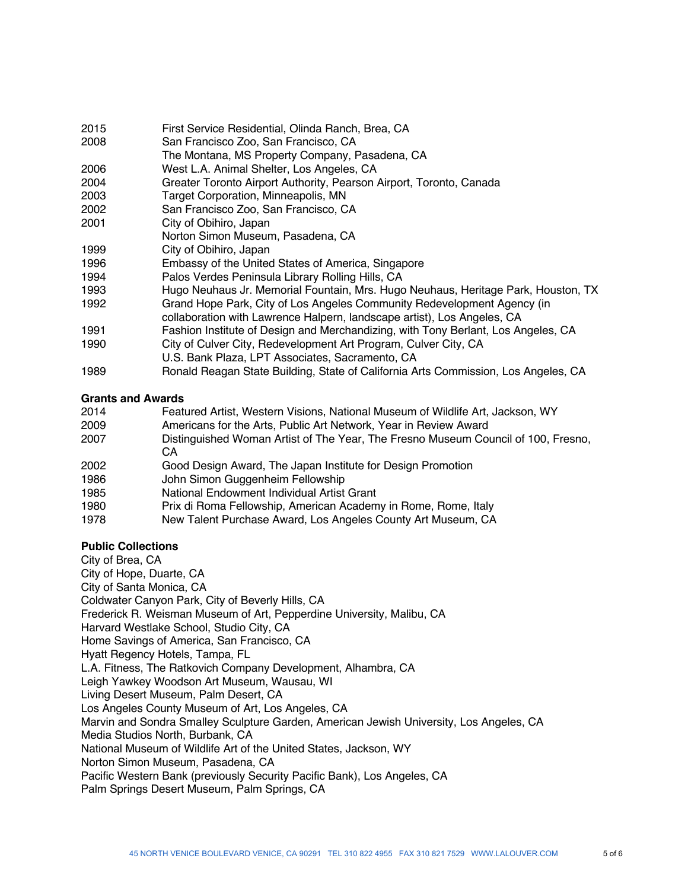- 2015 First Service Residential, Olinda Ranch, Brea, CA
- 2008 San Francisco Zoo, San Francisco, CA
- The Montana, MS Property Company, Pasadena, CA
- 2006 West L.A. Animal Shelter, Los Angeles, CA
- 2004 Greater Toronto Airport Authority, Pearson Airport, Toronto, Canada
- 2003 Target Corporation, Minneapolis, MN
- 2002 San Francisco Zoo, San Francisco, CA
- 2001 City of Obihiro, Japan
- Norton Simon Museum, Pasadena, CA
- 1999 City of Obihiro, Japan
- 1996 Embassy of the United States of America, Singapore
- 1994 Palos Verdes Peninsula Library Rolling Hills, CA
- 1993 Hugo Neuhaus Jr. Memorial Fountain, Mrs. Hugo Neuhaus, Heritage Park, Houston, TX
- 1992 Grand Hope Park, City of Los Angeles Community Redevelopment Agency (in
- collaboration with Lawrence Halpern, landscape artist), Los Angeles, CA
- 1991 Fashion Institute of Design and Merchandizing, with Tony Berlant, Los Angeles, CA
- 1990 City of Culver City, Redevelopment Art Program, Culver City, CA
- U.S. Bank Plaza, LPT Associates, Sacramento, CA
- 1989 Ronald Reagan State Building, State of California Arts Commission, Los Angeles, CA

#### **Grants and Awards**

| 2014 | Featured Artist, Western Visions, National Museum of Wildlife Art, Jackson, WY    |
|------|-----------------------------------------------------------------------------------|
| 2009 | Americans for the Arts, Public Art Network, Year in Review Award                  |
| 2007 | Distinguished Woman Artist of The Year, The Fresno Museum Council of 100, Fresno, |
|      | CА                                                                                |
| 2002 | Good Design Award, The Japan Institute for Design Promotion                       |
| 1986 | John Simon Guggenheim Fellowship                                                  |
| 1985 | National Endowment Individual Artist Grant                                        |
| 1980 | Prix di Roma Fellowship, American Academy in Rome, Rome, Italy                    |
| 1978 | New Talent Purchase Award, Los Angeles County Art Museum, CA                      |

### **Public Collections**

City of Brea, CA City of Hope, Duarte, CA City of Santa Monica, CA Coldwater Canyon Park, City of Beverly Hills, CA Frederick R. Weisman Museum of Art, Pepperdine University, Malibu, CA Harvard Westlake School, Studio City, CA Home Savings of America, San Francisco, CA Hyatt Regency Hotels, Tampa, FL L.A. Fitness, The Ratkovich Company Development, Alhambra, CA Leigh Yawkey Woodson Art Museum, Wausau, WI Living Desert Museum, Palm Desert, CA Los Angeles County Museum of Art, Los Angeles, CA Marvin and Sondra Smalley Sculpture Garden, American Jewish University, Los Angeles, CA Media Studios North, Burbank, CA National Museum of Wildlife Art of the United States, Jackson, WY Norton Simon Museum, Pasadena, CA Pacific Western Bank (previously Security Pacific Bank), Los Angeles, CA Palm Springs Desert Museum, Palm Springs, CA